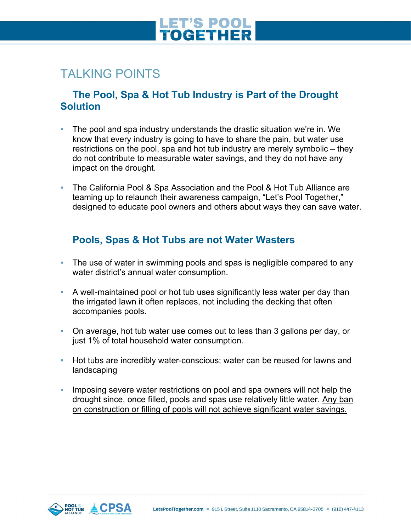# **ET'S POOL<br>OGETHER**

### TALKING POINTS

#### **The Pool, Spa & Hot Tub Industry is Part of the Drought Solution**

- The pool and spa industry understands the drastic situation we're in. We know that every industry is going to have to share the pain, but water use restrictions on the pool, spa and hot tub industry are merely symbolic – they do not contribute to measurable water savings, and they do not have any impact on the drought.
- The California Pool & Spa Association and the Pool & Hot Tub Alliance are teaming up to relaunch their awareness campaign, "Let's Pool Together," designed to educate pool owners and others about ways they can save water.

### **Pools, Spas & Hot Tubs are not Water Wasters**

- **The use of water in swimming pools and spas is negligible compared to any** water district's annual water consumption.
- A well-maintained pool or hot tub uses significantly less water per day than the irrigated lawn it often replaces, not including the decking that often accompanies pools.
- On average, hot tub water use comes out to less than 3 gallons per day, or just 1% of total household water consumption.
- Hot tubs are incredibly water-conscious; water can be reused for lawns and landscaping
- **.** Imposing severe water restrictions on pool and spa owners will not help the drought since, once filled, pools and spas use relatively little water. Any ban on construction or filling of pools will not achieve significant water savings.

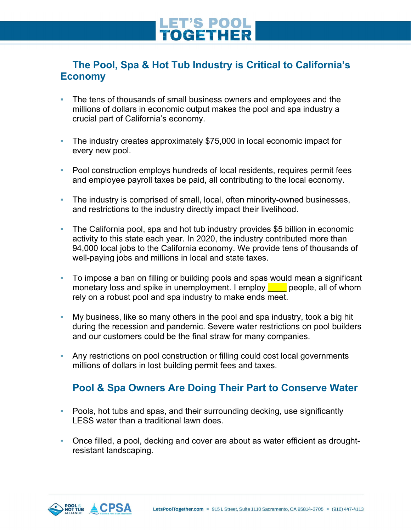# **ET'S POOL**<br>**OGETHER**

### **The Pool, Spa & Hot Tub Industry is Critical to California's Economy**

- **The tens of thousands of small business owners and employees and the** millions of dollars in economic output makes the pool and spa industry a crucial part of California's economy.
- The industry creates approximately \$75,000 in local economic impact for every new pool.
- Pool construction employs hundreds of local residents, requires permit fees and employee payroll taxes be paid, all contributing to the local economy.
- The industry is comprised of small, local, often minority-owned businesses, and restrictions to the industry directly impact their livelihood.
- The California pool, spa and hot tub industry provides \$5 billion in economic activity to this state each year. In 2020, the industry contributed more than 94,000 local jobs to the California economy. We provide tens of thousands of well-paying jobs and millions in local and state taxes.
- To impose a ban on filling or building pools and spas would mean a significant monetary loss and spike in unemployment. I employ  $\Box$  people, all of whom rely on a robust pool and spa industry to make ends meet.
- My business, like so many others in the pool and spa industry, took a big hit during the recession and pandemic. Severe water restrictions on pool builders and our customers could be the final straw for many companies.
- Any restrictions on pool construction or filling could cost local governments millions of dollars in lost building permit fees and taxes.

### **Pool & Spa Owners Are Doing Their Part to Conserve Water**

- Pools, hot tubs and spas, and their surrounding decking, use significantly LESS water than a traditional lawn does.
- Once filled, a pool, decking and cover are about as water efficient as droughtresistant landscaping.